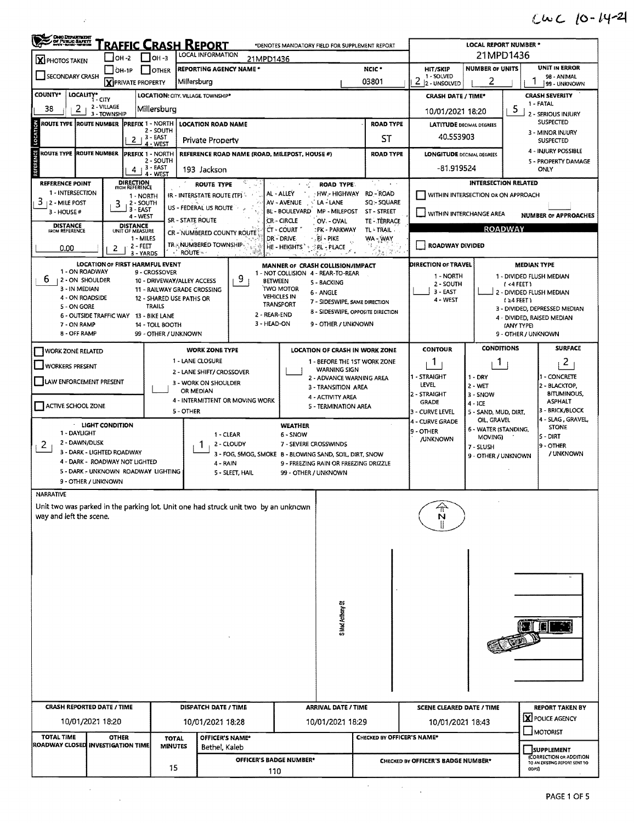## $CwC$   $[0-14-2]$

| OHIO DEPARTMENT                                                                    | <u>'raffic Crash Report</u>            |                                                           |                                   |                                                                     | *DENOTES MANDATORY FIELD FOR SUPPLEMENT REPORT                         |                                                 |                                                                       |                                                        | <b>LOCAL REPORT NUMBER *</b>                                |                                             |  |  |  |
|------------------------------------------------------------------------------------|----------------------------------------|-----------------------------------------------------------|-----------------------------------|---------------------------------------------------------------------|------------------------------------------------------------------------|-------------------------------------------------|-----------------------------------------------------------------------|--------------------------------------------------------|-------------------------------------------------------------|---------------------------------------------|--|--|--|
| <b>X</b> PHOTOS TAKEN                                                              | <b>  1</b> ОН -2                       | $OH - 3$                                                  |                                   | 21MPD1436                                                           |                                                                        |                                                 |                                                                       |                                                        |                                                             |                                             |  |  |  |
| SECONDARY CRASH                                                                    | OH-1P                                  | I OTHER                                                   |                                   | <b>REPORTING AGENCY NAME *</b>                                      |                                                                        |                                                 | NCIC <sup>+</sup>                                                     | HIT/SKIP<br>1 - SOLVED                                 | <b>NUMBER OF UNITS</b>                                      | <b>UNIT IN ERROR</b><br>98 - ANIMAL         |  |  |  |
|                                                                                    | <b>X</b> PRIVATE PROPERTY              |                                                           | Millersburg                       |                                                                     |                                                                        |                                                 | 03801                                                                 | $2 2$ - UNSOLVED                                       | 2                                                           | 99 - UNKNOWN                                |  |  |  |
| <b>COUNTY*</b><br>LOCALITY*<br>2<br>38                                             | 1 - CITY<br>2 - VILLAGE                | LOCATION: CITY, VILLAGE TOWNSHIP*<br>Millersburg          |                                   |                                                                     |                                                                        |                                                 |                                                                       | <b>CRASH DATE / TIME*</b>                              |                                                             | <b>CRASH SEVERITY</b><br>1 - FATAL          |  |  |  |
| ROUTE TYPE  ROUTE NUMBER                                                           | 3 - TOWNSHIP                           | PREFIX 1 - NORTH                                          |                                   | <b>LOCATION ROAD NAME</b>                                           |                                                                        |                                                 | <b>ROAD TYPE</b>                                                      | 10/01/2021 18:20                                       |                                                             | 5<br>2 - SERIOUS INJURY<br><b>SUSPECTED</b> |  |  |  |
| LOCATION                                                                           | 2                                      | 2 - SOUTH<br><sub>1</sub> 3 - EAST                        |                                   | <b>Private Property</b>                                             |                                                                        |                                                 | ST                                                                    | <b>LATITUDE DECIMAL DEGREES</b><br>40.553903           |                                                             | 3 - MINOR INJURY                            |  |  |  |
| ENCE<br>EN<br>ROUTE TYPE  ROUTE NUMBER                                             |                                        | 4 - WEST<br><b>PREFIX 1 - NORTH</b>                       |                                   | REFERENCE ROAD NAME (ROAD, MILEPOST, HOUSE #)                       |                                                                        |                                                 | <b>ROAD TYPE</b>                                                      | <b>LONGITUDE DECIMAL DEGREES</b>                       |                                                             | <b>SUSPECTED</b><br>4 - INJURY POSSIBLE     |  |  |  |
|                                                                                    | 4                                      | 2 - SOUTH<br>$-3 - EAST$                                  | 193 Jackson                       |                                                                     |                                                                        |                                                 |                                                                       | -81.919524                                             | 5 - PROPERTY DAMAGE<br>ONLY                                 |                                             |  |  |  |
| <b>REFERENCE POINT</b>                                                             | <b>DIRECTION</b><br>FROM REFERENCE     | $4 - WESI$                                                |                                   | ROUTE TYPE                                                          | 大规                                                                     | ROAD TYPE:                                      | $\alpha$ . $\beta$                                                    |                                                        |                                                             | <b>INTERSECTION RELATED</b>                 |  |  |  |
| 1 - INTERSECTION                                                                   |                                        | 1 - NORTH                                                 |                                   | IR - INTERSTATE ROUTE (TP)                                          | AL - ALLEY                                                             | · HW - HIGHWAY                                  | <b>RD-ROAD</b>                                                        |                                                        | WITHIN INTERSECTION OR ON APPROACH                          |                                             |  |  |  |
| $312 -$ MILE POST<br>3 - HOUSE#                                                    | 3<br>3 - EAST                          | 2 - SOUTH<br>$4 - WEST$                                   | US - FEDERAL US ROUTE             |                                                                     | AV - AVENUE<br>BL - BOULEVARD                                          | LA-LANE<br>MP - MILEPOST                        | SQ:- SQUARE<br>ST - STREET                                            | VITHIN INTERCHANGE AREA<br><b>NUMBER OF APPROACHES</b> |                                                             |                                             |  |  |  |
| <b>DISTANCE</b><br>FROM REFERENCE                                                  | <b>DISTANCE</b><br>UNIT OF MEASURE     |                                                           | SR - STATE ROUTE                  |                                                                     | CR-CIRCLE<br>CT - COURT                                                | OV OVAL<br>:PK - PARKWAY                        | TE - TERRACE<br>TL - TRAIL                                            |                                                        |                                                             | <b>ROADWAY</b>                              |  |  |  |
|                                                                                    |                                        | 1 - MILES<br>$2 - FET$                                    |                                   | CR - NUMBERED COUNTY ROUTE<br>TR. NUMBERED TOWNSHIP                 | DR - DRIVE<br>HE - HEIGHTS                                             | - RI - PIKE                                     | WA-WAY<br>侵                                                           | <b>ROADWAY DIVIDED</b>                                 |                                                             |                                             |  |  |  |
| 0.00                                                                               | 2                                      | 3 - YARDS                                                 | <b>ROUTE</b>                      |                                                                     |                                                                        | <b><i>RL</i>-PLACE</b>                          | 超过的                                                                   |                                                        |                                                             |                                             |  |  |  |
| 1 - ON ROADWAY                                                                     | <b>LOCATION OF FIRST HARMFUL EVENT</b> | 9 - CROSSOVER                                             |                                   |                                                                     | MANNER OF CRASH COLLISION/IMPACT<br>1 - NOT COLLISION 4 - REAR-TO-REAR |                                                 |                                                                       | DIRECTION OF TRAVEL                                    |                                                             | <b>MEDIAN TYPE</b>                          |  |  |  |
| 6<br>  2 - ON SHOULDER<br>3 - IN MEDIAN                                            |                                        | 10 - DRIVEWAY/ALLEY ACCESS<br>11 - RAILWAY GRADE CROSSING |                                   | 9.                                                                  | <b>BETWEEN</b><br>TWO MOTOR                                            | 5 - BACKING                                     |                                                                       | 1 - NORTH<br>2 - SOUTH                                 |                                                             | 1 - DIVIDED FLUSH MEDIAN<br>(4FEE)          |  |  |  |
| 4 - ON ROADSIDE                                                                    |                                        | 12 - SHARED USE PATHS OR                                  |                                   |                                                                     | <b>VEHICLES IN</b><br><b>TRANSPORT</b>                                 | 6 - ANGLE<br>7 - SIDESWIPE, SAME DIRECTION      |                                                                       | 3 - EAST<br>4 - WEST                                   | 2 - DIVIDED FLUSH MEDIAN<br>$(24$ FEET)                     |                                             |  |  |  |
| 5 - ON GORE                                                                        | 6 - OUTSIDE TRAFFIC WAY 13 - BIKE LANE | TRAILS                                                    |                                   | 2 - REAR-END                                                        |                                                                        |                                                 | 8 - SIDESWIPE, OPPOSITE DIRECTION                                     |                                                        | 3 - DIVIDED, DEPRESSED MEDIAN<br>4 - DIVIDED, RAISED MEDIAN |                                             |  |  |  |
| 7 - ON RAMP<br>8 - OFF RAMP                                                        |                                        | 14 TOLL BOOTH<br>99 - OTHER / UNKNOWN                     |                                   | 3 - HEAD-ON                                                         |                                                                        | 9 - OTHER / UNKNOWN                             |                                                                       |                                                        |                                                             | (ANY TYPE)<br>9 - OTHER / UNKNOWN           |  |  |  |
|                                                                                    |                                        |                                                           |                                   |                                                                     |                                                                        |                                                 |                                                                       | <b>CONTOUR</b>                                         | <b>CONDITIONS</b>                                           | <b>SURFACE</b>                              |  |  |  |
| <b>WORK ZONE RELATED</b>                                                           |                                        |                                                           | 1 - LANE CLOSURE                  | <b>WORK ZONE TYPE</b>                                               |                                                                        |                                                 | <b>LOCATION OF CRASH IN WORK ZONE</b><br>1 - BEFORE THE 1ST WORK ZONE | 1                                                      | Т.                                                          | 2                                           |  |  |  |
| WORKERS PRESENT                                                                    |                                        |                                                           |                                   | 2 - LANE SHIFT/ CROSSOVER                                           |                                                                        | <b>WARNING SIGN</b><br>2 - ADVANCE WARNING AREA |                                                                       | 1 - STRAIGHT                                           | $1 - DRY$                                                   | 1 - CONCRETE                                |  |  |  |
| LAW ENFORCEMENT PRESENT                                                            |                                        |                                                           | 3 - WORK ON SHOULDER<br>OR MEDIAN |                                                                     |                                                                        | 3 - TRANSITION AREA                             |                                                                       | LEVEL<br>2 - STRAIGHT                                  | $2 - WET$<br>$3 -$ SNOW                                     | 2 - BLACKTOP.<br><b>BITUMINOUS,</b>         |  |  |  |
| ACTIVE SCHOOL ZONE                                                                 |                                        |                                                           |                                   | 4 - INTERMITTENT OR MOVING WORK                                     |                                                                        | 4 - ACTIVITY AREA<br>5 - TERMINATION AREA       |                                                                       | GRADE                                                  | $4 - ICE$                                                   | <b>ASPHALT</b>                              |  |  |  |
|                                                                                    |                                        |                                                           | 5 - OTHER                         |                                                                     |                                                                        |                                                 |                                                                       | 3 - CURVE LEVEL<br>4 - CURVE GRADE                     | 5 - SAND, MUD, DIRT,<br>OIL, GRAVEL                         | 3 - BRICK/BLOCK<br>4 - SLAG, GRAVEL,        |  |  |  |
| 1 - DAYLIGHT                                                                       | <b>LIGHT CONDITION</b>                 |                                                           |                                   | 1 - CLEAR                                                           | <b>WEATHER</b><br>$6 -$ SNOW                                           |                                                 | 9 - OTHER                                                             | 6 - WATER (STANDING,<br>MOVING)                        | <b>STONE</b><br>5 - DIRT                                    |                                             |  |  |  |
| 2 - DAWN/DUSK<br>$\mathbf{2}$                                                      | 3 - DARK - LIGHTED ROADWAY             |                                                           |                                   | 2 - CLOUDY                                                          | 7 - SEVERE CROSSWINDS                                                  |                                                 | /UNKNOWN                                                              | 7 - SLUSH                                              | 9 - OTHER                                                   |                                             |  |  |  |
|                                                                                    | 4 - DARK - ROADWAY NOT LIGHTED         |                                                           |                                   | 3 - FOG, 5MOG, SMOKE B - BLOWING SAND, SOIL, DIRT, SNOW<br>4 - RAIN | 9 - FREEZING RAIN OR FREEZING DRIZZLE                                  |                                                 |                                                                       | 9 - OTHER / UNKNOWN                                    | / UNKNOWN                                                   |                                             |  |  |  |
| 9 - OTHER / UNKNOWN                                                                | 5 - DARK - UNKNOWN ROADWAY LIGHTING    |                                                           |                                   | 5 - SLEET, HAIL                                                     | 99 - OTHER / UNKNOWN                                                   |                                                 |                                                                       |                                                        |                                                             |                                             |  |  |  |
| <b>NARRATIVE</b>                                                                   |                                        |                                                           |                                   |                                                                     |                                                                        |                                                 |                                                                       |                                                        |                                                             |                                             |  |  |  |
| Unit two was parked in the parking lot. Unit one had struck unit two by an unknown |                                        |                                                           |                                   |                                                                     |                                                                        |                                                 |                                                                       | ⇑                                                      |                                                             |                                             |  |  |  |
| way and left the scene.                                                            |                                        |                                                           |                                   |                                                                     |                                                                        |                                                 |                                                                       | N                                                      |                                                             |                                             |  |  |  |
|                                                                                    |                                        |                                                           |                                   |                                                                     |                                                                        |                                                 |                                                                       |                                                        |                                                             |                                             |  |  |  |
|                                                                                    |                                        |                                                           |                                   |                                                                     |                                                                        |                                                 |                                                                       |                                                        |                                                             |                                             |  |  |  |
|                                                                                    |                                        |                                                           |                                   |                                                                     |                                                                        |                                                 |                                                                       |                                                        |                                                             |                                             |  |  |  |
|                                                                                    |                                        |                                                           |                                   |                                                                     |                                                                        |                                                 |                                                                       |                                                        |                                                             |                                             |  |  |  |
|                                                                                    |                                        |                                                           |                                   |                                                                     |                                                                        |                                                 |                                                                       |                                                        |                                                             |                                             |  |  |  |
|                                                                                    |                                        |                                                           |                                   |                                                                     |                                                                        | S Mad Anthony St                                |                                                                       |                                                        |                                                             |                                             |  |  |  |
|                                                                                    |                                        |                                                           |                                   |                                                                     |                                                                        |                                                 |                                                                       |                                                        |                                                             |                                             |  |  |  |
|                                                                                    |                                        |                                                           |                                   |                                                                     |                                                                        |                                                 |                                                                       |                                                        |                                                             |                                             |  |  |  |
|                                                                                    |                                        |                                                           |                                   |                                                                     |                                                                        |                                                 |                                                                       |                                                        |                                                             |                                             |  |  |  |
|                                                                                    |                                        |                                                           |                                   |                                                                     |                                                                        |                                                 |                                                                       |                                                        |                                                             |                                             |  |  |  |
|                                                                                    |                                        |                                                           |                                   |                                                                     |                                                                        |                                                 |                                                                       |                                                        |                                                             |                                             |  |  |  |
|                                                                                    |                                        |                                                           |                                   |                                                                     |                                                                        |                                                 |                                                                       |                                                        |                                                             |                                             |  |  |  |
| <b>CRASH REPORTED DATE / TIME</b>                                                  |                                        | <b>DISPATCH DATE / TIME</b><br><b>ARRIVAL DATE / TIME</b> |                                   |                                                                     |                                                                        |                                                 | <b>SCENE CLEARED DATE / TIME</b>                                      |                                                        | <b>REPORT TAKEN BY</b><br>X POLICE AGENCY                   |                                             |  |  |  |
| 10/01/2021 18:20                                                                   |                                        |                                                           |                                   | 10/01/2021 18:28                                                    |                                                                        | 10/01/2021 18:29                                |                                                                       | 10/01/2021 18:43                                       |                                                             | <b>HOTORIST</b>                             |  |  |  |
| <b>TOTAL TIME</b><br>ROADWAY CLOSED INVESTIGATION TIME                             | <b>OTHER</b>                           | <b>TOTAL</b><br><b>MINUTES</b>                            |                                   | OFFICER'S NAME*<br>Bethel, Kaleb                                    |                                                                        |                                                 | <b>CHECKED BY OFFICER'S NAME*</b>                                     |                                                        |                                                             | <b>SUPPLEMENT</b>                           |  |  |  |
|                                                                                    |                                        |                                                           |                                   |                                                                     | OFFICER'S BADGE NUMBER*                                                |                                                 |                                                                       | CHECKED BY OFFICER'S BADGE NUMBER*                     | (CORRECTION OR ADDITION<br>TO AN EXISTING REPORT SENT TO    |                                             |  |  |  |
|                                                                                    |                                        | 15                                                        |                                   |                                                                     | 110                                                                    |                                                 |                                                                       |                                                        |                                                             | ODPSI                                       |  |  |  |
|                                                                                    |                                        |                                                           |                                   |                                                                     |                                                                        |                                                 |                                                                       |                                                        |                                                             | PAGE 1 OF 5                                 |  |  |  |

 $\mathcal{L}^{\text{max}}_{\text{max}}$ 

 $\label{eq:2.1} \frac{1}{\sqrt{2}}\sum_{i=1}^n\frac{1}{\sqrt{2\pi}}\sum_{i=1}^n\frac{1}{\sqrt{2\pi}}\sum_{i=1}^n\frac{1}{\sqrt{2\pi}}\sum_{i=1}^n\frac{1}{\sqrt{2\pi}}\sum_{i=1}^n\frac{1}{\sqrt{2\pi}}\sum_{i=1}^n\frac{1}{\sqrt{2\pi}}\sum_{i=1}^n\frac{1}{\sqrt{2\pi}}\sum_{i=1}^n\frac{1}{\sqrt{2\pi}}\sum_{i=1}^n\frac{1}{\sqrt{2\pi}}\sum_{i=1}^n\frac{$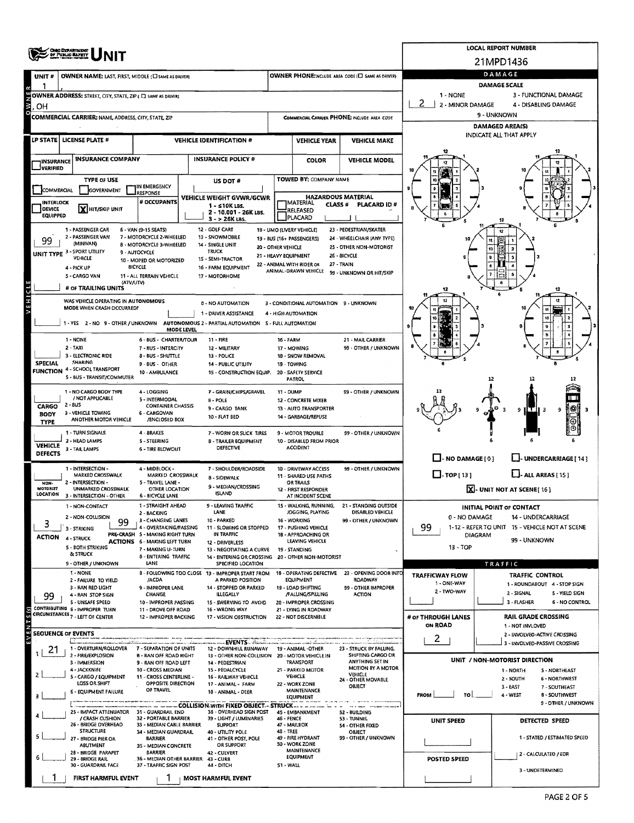|                                  | <b>OHIO DEPARTMENT</b><br>OF PUBLIC <b>BAFETT</b>                                        |                                                                        |                                                                               |                           |                                                                 |                                                       |                                                   | LOCAL REPORT NUMBER                                                  |                |  |  |  |  |  |
|----------------------------------|------------------------------------------------------------------------------------------|------------------------------------------------------------------------|-------------------------------------------------------------------------------|---------------------------|-----------------------------------------------------------------|-------------------------------------------------------|---------------------------------------------------|----------------------------------------------------------------------|----------------|--|--|--|--|--|
|                                  |                                                                                          |                                                                        |                                                                               |                           |                                                                 |                                                       |                                                   | 21MPD1436                                                            |                |  |  |  |  |  |
| UNIT#                            | OWNER NAME: LAST, FIRST, MIDDLE (C) SAME AS DRIVER)                                      |                                                                        |                                                                               |                           |                                                                 | OWNER PHONE: INCLUDE AREA CODE (L] SAME AS DRIVER)    |                                                   | DAMAGE                                                               |                |  |  |  |  |  |
|                                  | OWNER ADDRESS: STREET, CITY, STATE, ZIP ( E) SAME AS DRIVER)                             |                                                                        |                                                                               |                           |                                                                 |                                                       | 1 - NONE                                          | <b>DAMAGE SCALE</b><br>3 - FUNCTIONAL DAMAGE                         |                |  |  |  |  |  |
| OН                               |                                                                                          |                                                                        |                                                                               |                           |                                                                 |                                                       | 2 - MINOR DAMAGE                                  | 4 - DISABLING DAMAGE                                                 |                |  |  |  |  |  |
|                                  | <b>COMMERCIAL CARRIER: NAME ADDRESS, CITY, STATE, ZIP</b>                                |                                                                        |                                                                               |                           |                                                                 | COMMERCIAL CARRIER PHONE: INCLUDE AREA CODE           | 9 - UNKNOWN                                       |                                                                      |                |  |  |  |  |  |
|                                  |                                                                                          |                                                                        |                                                                               |                           |                                                                 |                                                       | <b>DAMAGED AREA(S)</b><br>INDICATE ALL THAT APPLY |                                                                      |                |  |  |  |  |  |
| <b>LP STATE</b>                  | LICENSE PLATE #                                                                          |                                                                        | <b>VEHICLE IDENTIFICATION #</b>                                               |                           | <b>VEHICLE YEAR</b>                                             | <b>VEHICLE MAKE</b>                                   |                                                   |                                                                      |                |  |  |  |  |  |
| <b>HINSURANCE</b>                | <b>INSURANCE COMPANY</b>                                                                 |                                                                        | <b>INSURANCE POLICY #</b>                                                     |                           | <b>COLOR</b>                                                    | <b>VEHICLE MODEL</b>                                  |                                                   |                                                                      |                |  |  |  |  |  |
| <b>JVERIFIED</b>                 | <b>TYPE OF USE</b>                                                                       |                                                                        |                                                                               |                           | TOWED BY: COMPANY NAME                                          |                                                       | 10                                                |                                                                      |                |  |  |  |  |  |
| COMMERCIAL                       | GOVERNMENT                                                                               | IN EMERGENCY<br><b>RESPONSE</b>                                        | US DOT #                                                                      |                           |                                                                 |                                                       | $\pmb{0}$                                         |                                                                      |                |  |  |  |  |  |
| <b>INTERLOCK</b>                 |                                                                                          | # OCCUPANTS                                                            | VEHICLE WEIGHT GVWR/GCWR<br>$1 - 510K$ LBS.                                   |                           | <b>HAZARDOUS MATERIAL</b><br><b>MATERIAL</b><br><b>CLASS#</b>   | <b>PLACARD ID#</b>                                    |                                                   |                                                                      |                |  |  |  |  |  |
| <b>DEVICE</b><br><b>EQUIPPED</b> | X HIT/SKIP UNIT                                                                          |                                                                        | 2 - 10.001 - 26K LBS.<br>$3 - 26K$ LBS.                                       |                           | RELEASED<br>PLACARD                                             |                                                       |                                                   | 12                                                                   |                |  |  |  |  |  |
|                                  | 1 - PASSENGER CAR                                                                        | 6 - VAN (9-15 SEATS)                                                   | 12 - GOLF CART                                                                |                           | 18 - LIMO (LIVERY VEHICLE)                                      | 23 - PEDESTRIAN/SKATER                                |                                                   |                                                                      |                |  |  |  |  |  |
| 99                               | 2 - PASSENGER VAN<br>(MINIVAN)                                                           | 7 - MOTORCYCLE 2-WHEELED<br>8 - MOTORCYCLE 3-WHEELED                   | 13 - SNOWMOBILE<br>14 - SINGLE UNIT                                           | 20 - OTHER VEHICLE        | 19 - 8US (16+ PASSENGERS)                                       | 24 - WHEELCHAIR (ANY TYPE)<br>25 - OTHER NON-MOTORIST |                                                   |                                                                      |                |  |  |  |  |  |
| UNIT TYPE <sup>3</sup>           | - SPORT UTILITY<br>VEHICLE                                                               | 9 - AUTOCYCLE<br>10 - MOPED OR MOTORIZED                               | <b>TRUCK</b><br><b>1S - SEMI-TRACTOR</b>                                      | 21 - HEAVY EQUIPMENT      |                                                                 | 26 - BICYCLE                                          |                                                   | 10                                                                   |                |  |  |  |  |  |
|                                  | 4 - PICK UP                                                                              | <b>BICYCLE</b>                                                         | 16 - FARM EQUIPMENT                                                           |                           | 27 - TRAIN<br>22 - ANIMAL WITH RIDER OR<br>ANIMAL-DRAWN VEHICLE | 99 - UNKNOWN OR HIT/SKIP                              |                                                   |                                                                      |                |  |  |  |  |  |
|                                  | 5 - CARGO VAN<br>(ATV/UTV)<br># OF TRAILING UNITS                                        | 11 - ALL TERRAIN VEHICLE                                               | 17 - MOTORHOME                                                                |                           |                                                                 |                                                       |                                                   |                                                                      |                |  |  |  |  |  |
|                                  | WAS VEHICLE OPERATING IN AUTONOMOUS                                                      |                                                                        |                                                                               |                           |                                                                 |                                                       |                                                   | u                                                                    |                |  |  |  |  |  |
|                                  | MODE WHEN CRASH OCCURRED?                                                                |                                                                        | 0 - NO AUTOMATION<br>1 - DRIVER ASSISTANCE                                    |                           | 3 - CONDITIONAL AUTOMATION 9 - UNKNOWN<br>4 - HIGH AUTOMATION   |                                                       |                                                   |                                                                      |                |  |  |  |  |  |
|                                  | 1 - YES 2 - NO 9 - OTHER / UNKNOWN AUTONOMOUS 2 - PARTIAL AUTOMATION 5 - FULL AUTOMATION |                                                                        |                                                                               |                           |                                                                 |                                                       |                                                   |                                                                      |                |  |  |  |  |  |
|                                  | 1 - NONE                                                                                 | MODE LEVEL<br><b>6 - BUS - CHARTER/TOUR</b>                            | $11 - FIRE$                                                                   | <b>16 - FARM</b>          |                                                                 | 21 - MAIL CARRIER                                     |                                                   |                                                                      |                |  |  |  |  |  |
|                                  | $2 - TAXI$<br>3 - ELECTRONIC RIDE                                                        | 7 - BUS - INTERCITY                                                    | 12 - MILITARY<br>13 - POLICE                                                  | 17 - MOWING               |                                                                 | 99 - OTHER / UNKNOWN                                  |                                                   |                                                                      |                |  |  |  |  |  |
| <b>SPECIAL</b>                   | <b>SHARING</b>                                                                           | <b>B - BUS - SHUTTLE</b><br>9 - BUS - OTHER                            | 14 - PUBLIC UTILITY                                                           | 19 - TOWING               | 18 - SNOW REMOVAL                                               |                                                       |                                                   |                                                                      |                |  |  |  |  |  |
|                                  | <b>FUNCTION 4 - SCHOOL TRANSPORT</b><br>5 - BUS - TRANSIT/COMMUTER                       | 10 AMBULANCE                                                           | 15 - CONSTRUCTION EQUIP.                                                      |                           | 20 - SAFETY SERVICE<br>PATROL                                   |                                                       |                                                   | 12                                                                   |                |  |  |  |  |  |
|                                  | 1 - NO CARGO BODY TYPE                                                                   | 4 - LOGGING                                                            | 7 - GRAIN/CHIPS/GRAVEL                                                        | 11 - DUMP                 |                                                                 | 99 - OTHER / UNKNOWN                                  |                                                   |                                                                      |                |  |  |  |  |  |
| CARGO                            | / NOT APPLICABLE<br>$2 - 8US$                                                            | 5 - INTERMODAL<br><b>CONTAINER CHASSIS</b>                             | $8 - POLE$<br>9 - CARGO TANK                                                  |                           | 12 - CONCRETE MIXER<br>13 - AUTO TRANSPORTER                    |                                                       |                                                   | 9<br>9                                                               |                |  |  |  |  |  |
| <b>BODY</b><br><b>TYPE</b>       | 3 - VEHICLE TOWING<br>ANOTHER MOTOR VEHICLE                                              | 6 - CARGOVAN<br>/ENCLOSED BOX                                          | 10 - FLAT BED                                                                 |                           | 14 - GARBAGE/REFUSE                                             |                                                       |                                                   |                                                                      |                |  |  |  |  |  |
|                                  | 1 - TURN SIGNALS                                                                         | 4 - BRAKES                                                             | 7 - WORN OR SLICK TIRES                                                       |                           | 9 - MOTOR TROUBLE                                               | 99 - OTHER / UNKNOWN                                  |                                                   |                                                                      |                |  |  |  |  |  |
| <b>VEHICLE</b>                   | 2 - HEAD LAMPS<br>3 - TAIL LAMPS                                                         | <b>S-STEERING</b><br><b>6 - TIRE BLOWOUT</b>                           | <b>8 - TRAILER EQUIPMENT</b><br>DEFECTIVE                                     |                           | 10 - DISABLED FROM PRIOR<br><b>ACCIDENT</b>                     |                                                       |                                                   |                                                                      |                |  |  |  |  |  |
| <b>DEFECTS</b>                   |                                                                                          |                                                                        |                                                                               |                           |                                                                 |                                                       | $\Box$ - NO DAMAGE [ 0 ]                          | U-UNDERCARRIAGE [ 14 ]                                               |                |  |  |  |  |  |
|                                  | 1 - INTERSECTION -<br>MARKED CROSSWALK                                                   | 4 - MIDBLOCK -<br>MARKED CROSSWALK                                     | 7 - SHOULDER/ROADSIDE<br><b>8 - SIDEWALK</b>                                  |                           | 10 - DRIVEWAY ACCESS<br>11 - SHARED USE PATHS                   | 99 - OTHER / UNKNOWN                                  | $\Box$ -TOP[13]                                   | $L$ - ALL AREAS [15]                                                 |                |  |  |  |  |  |
| NON-<br>MOTORIST                 | 2 - INTERSECTION -<br>UNMARKED CROSSWALK                                                 | 5 - TRAVEL LANE -<br>OTHER LOCATION                                    | 9 - MEDIAN/CROSSING                                                           |                           | OR TRAILS<br>12 - FIRST RESPONDER                               |                                                       |                                                   | X-UNIT NOT AT SCENE [16]                                             |                |  |  |  |  |  |
| LOCATION                         | 3 - INTERSECTION - OTHER                                                                 | 6 - BICYCLE LANE<br>1 - STRAIGHT AHEAD                                 | <b>ISLAND</b><br>9 - LEAVING TRAFFIC                                          |                           | AT INCIDENT SCENE<br>15 - WALKING, RUNNING,                     | 21 - STANDING OUTSIDE                                 |                                                   |                                                                      |                |  |  |  |  |  |
|                                  | 1 - NON-CONTACT<br>2 - NON-COLLISION                                                     | 2 - BACKING                                                            | LANE                                                                          |                           | JOGGING, PLAYING                                                | DISABLED VEHICLE                                      | 0 - NO DAMAGE                                     | <b>INITIAL POINT OF CONTACT</b><br>14 - UNDERCARRIAGE                |                |  |  |  |  |  |
| 3                                | 99<br>3 - STRIKING                                                                       | 3 - CHANGING LANES<br>4 - OVERTAKING/PASSING                           | 10 - PARKED<br>11 - SLOWING OR STOPPED                                        |                           | 16 - WORKING<br>17 - PUSHING VEHICLE                            | 99 - OTHER / UNKNOWN                                  | 99.                                               | 1-12 - REFER TO UNIT 15 - VEHICLE NOT AT SCENE                       |                |  |  |  |  |  |
| <b>ACTION</b>                    | 4 - STRUCK<br>5 - BOTH STRIKING                                                          | PRE-CRASH 5 - MAKING RIGHT TURN<br><b>ACTIONS 6 - MAKING LEFT TURN</b> | IN TRAFFIC<br>12 - DRIVERLESS                                                 |                           | 1B - APPROACHING OR<br>LEAVING VEHICLE                          |                                                       | 13 - TOP                                          | <b>DIAGRAM</b><br>99 - UNKNOWN                                       |                |  |  |  |  |  |
|                                  | <b>&amp; STRUCK</b>                                                                      | 7 - MAKING U-TURN<br>8 - ENTERING TRAFFIC                              | 13 - NEGOTIATING A CURVE<br>14 - ENTERING OR CROSSING 20 - OTHER NON-MOTORIST |                           | 19 - STANDING                                                   |                                                       |                                                   |                                                                      |                |  |  |  |  |  |
|                                  | 9 - OTHER / UNKNOWN<br>1 - NONE                                                          | LANE                                                                   | SPECIFIED LOCATION<br>B - FOLLOWING TOO CLOSE 13 - IMPROPER START FROM        |                           | <b>18 - OPERATING DEFECTIVE</b>                                 | 23 - OPENING DOOR INTO                                |                                                   | TRAFFIC                                                              |                |  |  |  |  |  |
|                                  | 2 - FAILURE TO VIELD<br>3 - RAN RED LIGHT                                                | /ACDA<br>9 - IMPROPER LANE                                             | A PARKED POSITION<br>14 - STOPPED OR PARKED                                   |                           | EQUIPMENT<br>19 - LOAD SHIFTING                                 | ROADWAY<br>99 - OTHER IMPROPER                        | <b>TRAFFICWAY FLOW</b><br>1 - ONE-WAY             | TRAFFIC CONTROL<br>1 - ROUNDABOUT 4 - STOP SIGN                      |                |  |  |  |  |  |
| 99                               | 4 - RAN STOP SIGN                                                                        | CHANGE                                                                 | ILLEGALLY                                                                     |                           | /FALUNG/SPILLING                                                | <b>ACTION</b>                                         | 2 - TWO-WAY                                       | 2 - SIGNAL<br>5 - YIELD SIGN                                         |                |  |  |  |  |  |
|                                  | 5 - UNSAFE SPEED<br>CONTRIBUTING 6 - IMPROPER TURN                                       | 10 - IMPROPER PASSING<br>11 - DROVE OFF ROAD                           | 15 - SWERVING TO AVOID<br>16 - WRONG WAY                                      |                           | 20 - IMPROPER CROSSING<br>21 - LYING IN ROADWAY                 |                                                       |                                                   | 3 - FLASHER                                                          | 6 - NO CONTROL |  |  |  |  |  |
|                                  | CIRCUMSTANCES <sub>7</sub> - LEFT OF CENTER                                              | 12 - IMPROPER BACKING                                                  | 17 - VISION OBSTRUCTION                                                       |                           | 22 - NOT DISCERNIBLE                                            |                                                       | # or THROUGH LANES<br>ON ROAD                     | <b>RAIL GRADE CROSSING</b><br>1 - NOT INVLOVED                       |                |  |  |  |  |  |
|                                  | <b>SEQUENCE OF EVENTS</b>                                                                |                                                                        |                                                                               |                           |                                                                 |                                                       | 2                                                 | 2 - INVOLVED-ACTIVE CROSSING                                         |                |  |  |  |  |  |
| 21                               | 1 - OVERTURN/ROLLOVER<br>2 - FIRE/EXPLOSION                                              | 7 - SEPARATION OF UNITS<br><b>B - RAN OFF ROAD RIGHT</b>               | 12 - DOWNHILL RUNAWAY<br>13 - OTHER NON-COLLISION 20 - MOTOR VEHICLE IN       |                           | 19 - ANIMAL - OTHER                                             | 23 - STRUCK BY FALLING,<br>SHIFTING CARGO OR          |                                                   | 3 - INVOLVED-PASSIVE CROSSING                                        |                |  |  |  |  |  |
|                                  | 3 - IMMERSION                                                                            | 9 - RAN OFF ROAD LEFT                                                  | 14 - PEDESTRIAN                                                               |                           | TRANSPORT                                                       | ANYTHING SET IN<br>MOTION BY A MOTOR                  |                                                   | UNIT / NON-MOTORIST DIRECTION                                        |                |  |  |  |  |  |
|                                  | 4 - JACKKNIFE<br>5 - CARGO / EQUIPMENT                                                   | 10 - CROSS MEDIAN<br>11 - CROSS CENTERLINE -                           | 15 - PEDALCYCLE<br>16 - RAILWAY VEHICLE                                       |                           | 21 - PARKED MOTOR<br>VEHICLE                                    | VEHICLE<br>24 - OTHER MOVABLE                         |                                                   | 1 - NORTH<br><b>S-NORTHEAST</b><br>2 - SOUTH<br><b>6 - NORTHWEST</b> |                |  |  |  |  |  |
|                                  | LOSS OR SHIFT<br>6 - EQUIPMENT FAILURE                                                   | OPPOSITE DIRECTION<br>OF TRAVEL                                        | 17 - ANIMAL - FARM<br>18 - ANIMAL - DEER                                      |                           | 22 - WORK ZONE<br>MAINTENANCE                                   | OBJECT                                                | <b>FROM</b><br>TO                                 | $3 - EAST$<br>7 - SOUTHEAST<br>4 - WEST<br><b>B-SOUTHWEST</b>        |                |  |  |  |  |  |
|                                  |                                                                                          |                                                                        | COLLISION WITH FIXED OBJECT . STRUCK                                          |                           | EQUIPMENT                                                       |                                                       |                                                   | 9 - OTHER / UNKNOWN                                                  |                |  |  |  |  |  |
|                                  | 25 - IMPACT ATTENUATOR 31 - GUARDRAIL END<br>/ CRASH CUSHION                             | 32 - PORTABLE BARRIER                                                  | 38 - OVERHEAD SIGN POST<br>39 - LIGHT / LUMINARIES                            | 46 - FENCE                | 45 - EMBANKMENT                                                 | 52 - BUILDING<br>53 - TUNNEL                          | <b>UNIT SPEED</b>                                 | DETECTED SPEED                                                       |                |  |  |  |  |  |
|                                  | 26 - BRIDGE OVERHEAD<br><b>STRUCTURE</b>                                                 | 33 - MEDIAN CABLE BARRIER<br>34 - MEDIAN GUARDRAIL                     | <b>SUPPORT</b><br>40 - UTILITY POLE                                           | 47 - MAILBOX<br>48 - TREE |                                                                 | 54 - OTHER FIXED<br>OBJECT                            |                                                   |                                                                      |                |  |  |  |  |  |
|                                  | - BRIDGE PIER OR<br>ABUTMENT                                                             | <b>BARRIER</b><br>35 - MEDIAN CONCRETE                                 | 41 - OTHER POST, POLE<br>OR SUPPORT                                           |                           | 49 - FIRE HYDRANT<br>50 - WORK ZONE                             | 99 - OTHER / UNKNOWN                                  |                                                   | 1 - STATED / ESTIMATED SPEED                                         |                |  |  |  |  |  |
|                                  | 28 - BRIDGE PARAPET<br>29 - BRIDGE RAIL                                                  | <b>BARRIER</b><br>36 - MEDIAN OTHER BARRIER 43 - CURB                  | 42 - CULVERT                                                                  |                           | MAINTENANCE<br><b>EQUIPMENT</b>                                 |                                                       | <b>POSTED SPEED</b>                               | 2 - CALCULATED / EDR                                                 |                |  |  |  |  |  |
|                                  | 30 - GUARDRAIL FACE                                                                      | 37 - TRAFFIC SIGN POST                                                 | 44 - DITCH                                                                    | S1 - WALL                 |                                                                 |                                                       |                                                   | 3 - UNDETERMINED                                                     |                |  |  |  |  |  |
|                                  | FIRST HARMFUL EVENT                                                                      |                                                                        | <b>MOST HARMFUL EVENT</b>                                                     |                           |                                                                 |                                                       |                                                   |                                                                      |                |  |  |  |  |  |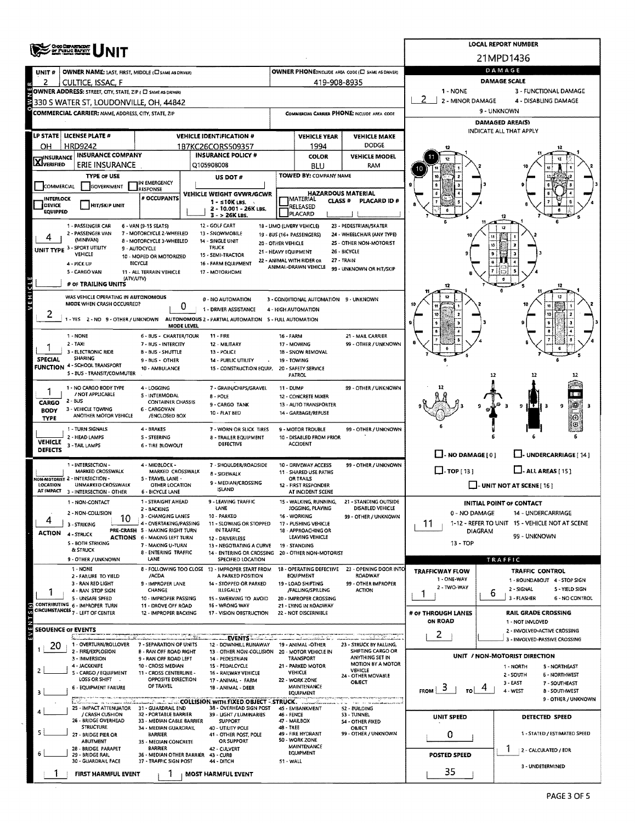|                                        | <b>ORO DEPARTMENT</b>                                                            |                                                               |                                                                                          |                                                              |                                                 |                                                           |                               | <b>LOCAL REPORT NUMBER</b>                                    |
|----------------------------------------|----------------------------------------------------------------------------------|---------------------------------------------------------------|------------------------------------------------------------------------------------------|--------------------------------------------------------------|-------------------------------------------------|-----------------------------------------------------------|-------------------------------|---------------------------------------------------------------|
|                                        |                                                                                  |                                                               |                                                                                          |                                                              |                                                 |                                                           |                               | 21MPD1436                                                     |
| UNIT#                                  | OWNER NAME: LAST, FIRST, MIDDLE (C) SAME AS DRIVER)                              |                                                               |                                                                                          |                                                              |                                                 | OWNER PHONE:INCLUDE AREA CODE (E) SAME AS DRIVER)         |                               | DAMAGE                                                        |
| 2                                      | CULTICE, ISSAC, F<br>OWNER ADDRESS: STREET, CITY, STATE, ZIP ( C SAME AS DRIVER) |                                                               |                                                                                          |                                                              | 419-908-8935                                    |                                                           | 1 - NONE                      | <b>DAMAGE SCALE</b><br>3 - FUNCTIONAL DAMAGE                  |
|                                        | 330 S WATER ST, LOUDONVILLE, OH, 44842                                           |                                                               |                                                                                          |                                                              |                                                 |                                                           | 2 - MINOR DAMAGE              | 4 - DISABLING DAMAGE                                          |
|                                        | COMMERCIAL CARRIER: NAME, ADDRESS, CITY, STATE, ZIP                              |                                                               |                                                                                          |                                                              |                                                 | COMMERCIAL CARRIER PHONE: INCLUDE AREA COOE               |                               | 9 - UNKNOWN                                                   |
|                                        |                                                                                  |                                                               |                                                                                          |                                                              |                                                 |                                                           |                               | <b>DAMAGED AREA(S)</b><br>INDICATE ALL THAT APPLY             |
|                                        | LP STATE   LICENSE PLATE #                                                       |                                                               | <b>VEHICLE IDENTIFICATION #</b>                                                          | <b>VEHICLE YEAR</b><br><b>VEHICLE MAKE</b>                   |                                                 |                                                           |                               |                                                               |
| OН                                     | <b>HRD9242</b><br><b>INSURANCE COMPANY</b>                                       |                                                               | 1B7KC26CORS509357<br><b>INSURANCE POLICY #</b>                                           | <b>DODGE</b><br>1994<br><b>VEHICLE MODEL</b><br><b>COLOR</b> |                                                 |                                                           |                               |                                                               |
| <b>X</b> INSURANCE                     | <b>ERIE INSURANCE</b>                                                            |                                                               | Q105908008                                                                               |                                                              | BLU                                             | RAM                                                       |                               |                                                               |
|                                        | <b>TYPE OF USE</b>                                                               |                                                               | US DOT #                                                                                 |                                                              | TOWED BY: COMPANY NAME                          |                                                           |                               |                                                               |
| COMMERCIAL                             | GOVERNMENT                                                                       | IN EMERGENCY<br>RESPONSE                                      | VEHICLE WEIGHT GVWR/GCWR                                                                 |                                                              | <b>HAZARDOUS MATERIAL</b>                       |                                                           |                               |                                                               |
| <b>INTERLOCK</b><br>DEVICE             | <b>HIT/SKIP UNIT</b>                                                             | # OCCUPANTS                                                   | $1 - 10K$ LBS.                                                                           |                                                              | IMATERIAL<br>CLASS <sup>#</sup><br>RELEASED     | PLACARD ID#                                               |                               |                                                               |
| <b>EQUIPPED</b>                        |                                                                                  |                                                               | 2 - 10.001 - 26K LBS.<br>$3 - 26K$ LBS.                                                  |                                                              | PLACARD                                         |                                                           |                               |                                                               |
|                                        | 1 - PASSENGER CAR<br>2 - PASSENGER VAN                                           | 6 - VAN (9-15 SEATS)<br>7 - MOTORCYCLE 2-WHEELED              | 12 - GOLF CART<br>13 - SNOWMOBILE                                                        |                                                              | 18 - LIMO (LIVERY VEHICLE)                      | 23 - PEDESTRIAN/5KATER<br>24 - WHEELCHAIR (ANY TYPE)      |                               |                                                               |
|                                        | (MINIVAN)                                                                        | 8 - MOTORCYCLE 3-WHEELED                                      | 14 - SINGLE UNIT                                                                         | 20 - OTHER VEHICLE                                           | 19 - 8US (16+ PASSENGERS)                       | 25 - OTHER NON-MOTORIST                                   |                               |                                                               |
|                                        | UNIT TYPE 3 - SPORT UTILITY<br>VEHICLE                                           | 9 - AUTOCYCLE<br>10 - MOPED OR MOTORIZED                      | <b>TRUCK</b><br>15 - SEMI-TRACTOR                                                        | 21 - HEAVY EQUIPMENT                                         | 22 - ANIMAL WITH RIDER OR                       | 26 - BICYCLE<br>27 - TRAIN                                |                               |                                                               |
|                                        | 4 - PICK UP<br>5 - CARGO VAN                                                     | <b>BICYCLE</b><br>11 - ALL TERRAIN VEHICLE                    | 16 - FARM EQUIPMENT<br>17 - MOTORHOME                                                    |                                                              | ANIMAL-DRAWN VEHICLE                            | 99 - UNKNOWN OR HIT/SKIP                                  |                               |                                                               |
| 11 D                                   | (ATV/UTV)<br># OF TRAILING UNITS                                                 |                                                               |                                                                                          |                                                              |                                                 |                                                           |                               |                                                               |
|                                        | WAS VEHICLE OPERATING IN AUTONOMOUS                                              |                                                               | 0 - NO AUTOMATION                                                                        |                                                              | 3 - CONDITIONAL AUTOMATION 9 - UNKNOWN          |                                                           |                               |                                                               |
| VEHI                                   | MODE WHEN CRASH OCCURRED?                                                        | 0                                                             | 1 - DRIVER ASSISTANCE                                                                    |                                                              | 4 - HIGH AUTOMATION                             |                                                           |                               |                                                               |
| ۷                                      |                                                                                  |                                                               | 1 - YES 2 - NO 9 - OTHER / UNKNOWN AUTONOMOUS 2 - PARTIAL AUTOMATION 5 - FULL AUTOMATION |                                                              |                                                 |                                                           |                               |                                                               |
|                                        | 1 - NONE                                                                         | MODE LEVEL<br>6 - BUS - CHARTER/TOUR                          | $11 - FIRE$                                                                              | 16 - FARM                                                    |                                                 | 21 - MAIL CARRIER                                         |                               |                                                               |
|                                        | 2 - TAXI                                                                         | 7 - BUS - INTERCITY                                           | 12 - MILITARY                                                                            |                                                              | 17 - MOWING                                     | 99 - OTHER / UNKNOWN                                      |                               |                                                               |
| <b>SPECIAL</b>                         | 3 - ELECTRONIC RIDE<br>SHARING                                                   | <b>B - BUS - SHUTTLE</b><br>9 - BUS - OTHER                   | 13 - POLICE<br>14 - PUBLIC UTILITY                                                       |                                                              | 1B - SNOW REMOVAL<br>19 - TOWING                |                                                           |                               |                                                               |
|                                        | <b>FUNCTION 4 - SCHOOL TRANSPORT</b><br>5 - BUS - TRANSIT/COMMUTER               | 10 - AMBULANCE                                                | 15 - CONSTRUCTION EQUIP. 20 - SAFETY SERVICE                                             |                                                              | <b>PATROL</b>                                   |                                                           |                               | 12                                                            |
|                                        | 1 - NO CARGO BODY TYPE                                                           | 4 - LOGGING                                                   | 7 - GRAIN/CHIPS/GRAVEL                                                                   | 11 - DUMP                                                    |                                                 | 99 - OTHER / UNKNOWN                                      |                               |                                                               |
|                                        | / NOT APPLICABLE<br>2 - BUS                                                      | 5 - INTERMODAL<br><b>CONTAINER CHASSIS</b>                    | <b>B-POLE</b>                                                                            |                                                              | 12 - CONCRETE MIXER                             |                                                           |                               |                                                               |
| CARGO<br><b>BODY</b>                   | 3 - VEHICLE TOWING                                                               | 6 - CARGOVAN                                                  | 9-CARGO TANK<br>10 - FLAT BED                                                            |                                                              | 13 - AUTO TRANSPORTER<br>14 - GARBAGE/REFUSE    |                                                           |                               | 9<br>9                                                        |
| TYPE                                   | ANOTHER MOTOR VEHICLE                                                            | /ENCLOSED BOX                                                 |                                                                                          |                                                              |                                                 |                                                           |                               | 0                                                             |
|                                        | 1 - TURN SIGNALS<br>2 - HEAD LAMPS                                               | 4 - BRAKES<br><b>S-STEERING</b>                               | 7 - WORN OR SLICK TIRES<br><b>B - TRAILER EQUIPMENT</b>                                  |                                                              | 9 - MOTOR TROUBLE<br>10 - DISABLED FROM PRIOR   | 99 - OTHER / UNKNOWN                                      |                               |                                                               |
| <b>VEHICLE</b><br><b>DEFECTS</b>       | 3 - TAIL LAMPS                                                                   | 6 - TIRE BLOWOUT                                              | DEFECTIVE                                                                                |                                                              | ACCIDENT                                        |                                                           | $\Box$ - NO DAMAGE [ 0 ]      | U-UNDERCARRIAGE [14]                                          |
|                                        | 1 - INTERSECTION -                                                               | 4 - MIDBLOCK -                                                | 7 - SHOULDER/ROADSIDE                                                                    |                                                              | 10 - DRIVEWAY ACCESS                            | 99 - OTHER / UNKNOWN                                      |                               |                                                               |
|                                        | MARKED CROSSWALK<br>ION-MOTORIST 2 - INTERSECTION -                              | MARKED CROSSWALK<br>S - TRAVEL LANE -                         | 8 - SIDEWALK                                                                             |                                                              | 11 - SHARED USE PATHS<br>OR TRAILS              |                                                           | $\Box$ -TOP[13]               | $\Box$ - ALL AREAS [ 15 ]                                     |
| LOCATION<br>AT IMPACT                  | UNMARKED CROSSWALK<br>3 - INTERSECTION - OTHER                                   | OTHER LOCATION<br>6 - BICYCLE LANE                            | 9 - MEDIAN/CROSSING<br>ISLAND                                                            |                                                              | 12 - FIRST RESPONDER<br>AT INCIDENT SCENE       |                                                           |                               | $\Box$ - UNIT NOT AT SCENE [ 16 ]                             |
|                                        | 1 - NON-CONTACT                                                                  | 1 - STRAIGHT AHEAD                                            | 9 - LEAVING TRAFFIC                                                                      |                                                              |                                                 | 15 - WALKING, RUNNING, 21 - STANDING OUTSIDE              |                               | INITIAL POINT OF CONTACT                                      |
|                                        | 2 - NON-COLLISION<br>10                                                          | 2 - BACKING<br>3 - CHANGING LANES                             | LANE<br>10 - PARKED                                                                      |                                                              | JOGGING, PLAYING<br>16 - WORKING                | DISABLED VEHICLE<br>99 - OTHER / UNKNOWN                  | 0 - NO DAMAGE                 | 14 - UNDERCARRIAGE                                            |
| 4                                      | 3 - STRIKING                                                                     | 4 - OVERTAKING/PASSING<br>PRE-CRASH 5 - MAKING RIGHT TURN     | 11 - SLOWING OR STOPPED<br>IN TRAFFIC                                                    |                                                              | 17 - PUSHING VEHICLE<br>18 - APPROACHING OR     |                                                           | 11<br><b>DIAGRAM</b>          | 1-12 - REFER TO UNIT 15 - VEHICLE NOT AT SCENE                |
| <b>ACTION</b>                          | 4 - STRUCK<br>5 - BOTH STRIKING                                                  | <b>ACTIONS</b> 6 - MAKING LEFT TURN<br>7 - MAKING U-TURN      | 12 - DRIVERLESS<br>13 - NEGOTIATING A CURVE                                              |                                                              | LEAVING VEHICLE<br>19 - STANDING                |                                                           | 13 - TOP                      | 99 - UNKNOWN                                                  |
|                                        | & STRUCK                                                                         | 8 - ENTERING TRAFFIC                                          | 14 - ENTERING OR CROSSING 20 - OTHER NON-MOTORIST                                        |                                                              |                                                 |                                                           |                               |                                                               |
|                                        | 9 - OTHER / UNKNOWN<br>1 - NONE                                                  | LANE                                                          | <b>SPECIFIED LOCATION</b><br>8 - FOLLOWING TOO CLOSE 13 - IMPROPER START FROM            |                                                              | <b>18 - OPERATING DEFECTIVE</b>                 | 23 - OPENING DOOR INTO                                    | <b>TRAFFICWAY FLOW</b>        | TRAFFIC<br>TRAFFIC CONTROL                                    |
|                                        | 2 - FAILURE TO YIELD<br>3 - RAN RED LIGHT                                        | /ACDA<br>9 - IMPROPER LANE                                    | A PARKED POSITION<br>14 - STOPPED OR PARKED                                              |                                                              | <b>EQUIPMENT</b><br>19 - LOAD SHIFTING          | ROADWAY<br>99 - OTHER IMPROPER                            | 1 - ONE-WAY                   | 1 - ROUNDABOUT 4 - STOP SIGN                                  |
|                                        | 4 - RAN STOP SIGN                                                                | <b>CHANGE</b>                                                 | ILLEGALLY                                                                                |                                                              | /FALLING/SPILLING                               | <b>ACTION</b>                                             | 2 - TWO-WAY                   | 5 - YIELD SIGN<br>2 - SIGNAL<br>6                             |
|                                        | 5 - UNSAFE SPEED<br>CONTRIBUTING 6 - IMPROPER TURN                               | 10 - IMPROPER PASSING<br>11 - DROVE OFF ROAD                  | 15 - SWERVING TO AVOID<br>16 - WRONG WAY                                                 |                                                              | 20 - IMPROPER CROSSING<br>21 - LYING IN ROADWAY |                                                           |                               | 3 - FLASHER<br>6 - NO CONTROL                                 |
|                                        | CIRCUMSTANCES 7 - LEFT OF CENTER                                                 | 12 - IMPROPER BACKING                                         | 17 - VISION OBSTRUCTION                                                                  |                                                              | 22 - NOT DISCERNIBLE                            |                                                           | # OF THROUGH LANES<br>ON ROAD | <b>RAIL GRADE CROSSING</b><br>1 - NOT INVLOVED                |
| EVENTS(s)<br><b>SEQUENCE OF EVENTS</b> |                                                                                  |                                                               |                                                                                          |                                                              |                                                 |                                                           | 2                             | 2 - INVOLVED-ACTIVE CROSSING                                  |
| 20                                     | 1 - OVERTURN/ROLLOVER                                                            | 7 - SEPARATION OF UNITS                                       | EVENTS<br>12 - DOWNHILL RUNAWAY                                                          |                                                              | 19 - ANIMAL -OTHER                              | 23 - STRUCK BY FALLING,                                   |                               | 3 - INVOLVED-PASSIVE CROSSING                                 |
|                                        | 2 - FIRE/EXPLOSION<br>3 - IMMERSION                                              | <b>B - RAN OFF ROAD RIGHT</b><br>9 - RAN OFF ROAD LEFT        | 13 - OTHER NON-COLLISION 20 - MOTOR VEHICLE IN<br>14 - PEDESTRIAN                        |                                                              | TRANSPORT                                       | SHIFTING CARGO OR<br>ANYTHING SET IN                      |                               | UNIT / NON-MOTORIST DIRECTION                                 |
|                                        | 4 - JACKKNIFE<br>5 - CARGO / EQUIPMENT                                           | 10 - CROSS MEDIAN<br>11 - CROSS CENTERLINE -                  | 15 - PEDALCYCLE<br>16 - RAILWAY VEHICLE                                                  |                                                              | 21 - PARKED MOTOR<br>VEHICLE                    | <b>MOTION BY A MOTOR</b><br>VEHICLE<br>24 - OTHER MOVABLE |                               | 1 - NORTH<br><b>S-NORTHEAST</b><br>2 - SOUTH<br>6 - NORTHWEST |
|                                        | LOSS OR SHIFT<br>6 - EQUIPMENT FAILURE                                           | OPPOSITE DIRECTION<br>OF TRAVEL                               | 17 - ANIMAL - FARM<br>18 - ANIMAL - DEER                                                 |                                                              | 22 - WORK ZONE<br><b>MAINTENANCE</b>            | OBJECT                                                    | -5                            | 3 - EAST<br>7 - SOUTHEAST                                     |
| э                                      |                                                                                  |                                                               |                                                                                          |                                                              | EQUIPMENT                                       |                                                           | <b>FROM</b><br>- rol          | 4 - WEST<br><b>8 - SOUTHWEST</b><br>9 - OTHER / UNKNOWN       |
|                                        | 25 - IMPACT ATTENUATOR 31 - GUARDRAIL END<br>/ CRASH CUSHION                     | 32 - PORTABLE BARRIER                                         | 38 - OVERHEAD SIGN POST<br>39 - LIGHT / LUMINARIES                                       | 46 - FENCE                                                   | 45 - EMBANKMENT                                 | 52 - BUILDING<br>53 - TUNNEL                              |                               |                                                               |
|                                        | 26 - BRIDGE OVERHEAD<br><b>STRUCTURE</b>                                         | 33 - MEDIAN CABLE BARRIER                                     | <b>SUPPORT</b>                                                                           | 48 - TREE                                                    | 47 - MAILBOX                                    | 54 - OTHER FIXED                                          | UNIT SPEED                    | <b>DETECTED SPEED</b>                                         |
|                                        | 27 - BRIDGE PIER OR                                                              | 34 - MEDIAN GUARDRAIL<br><b>BARRIER</b>                       | 40 - UTILITY POLE<br>41 - OTHER POST, POLE                                               |                                                              | 49 - FIRE HYDRANT<br>50 - WORK ZONE             | OBJECT<br>99 - OTHER / UNKNOWN                            | 0                             | 1 - STATED / ESTIMATED SPEED                                  |
|                                        | <b>ABUTMENT</b><br>28 - BRIDGE PARAPET                                           | 35 - MEDIAN CONCRETE<br><b>BARRIER</b>                        | OR SUPPORT<br>42 - CULVERT                                                               |                                                              | <b>MAINTENANCE</b><br>EQUIPMENT                 |                                                           |                               | 2 - CALCULATED / EDR                                          |
|                                        | 29 - BRIDGE RAIL<br>30 - GUARDRAIL FACE                                          | 36 - MEDIAN OTHER BARRIER 43 - CURB<br>37 - TRAFFIC SIGN POST | 44 - DITCH                                                                               | 51 - WALL                                                    |                                                 |                                                           | <b>POSTED SPEED</b>           | 3 - UNDETERMINED                                              |
|                                        | FIRST HARMFUL EVENT                                                              |                                                               | <b>MOST HARMFUL EVENT</b>                                                                |                                                              |                                                 |                                                           | 35                            |                                                               |